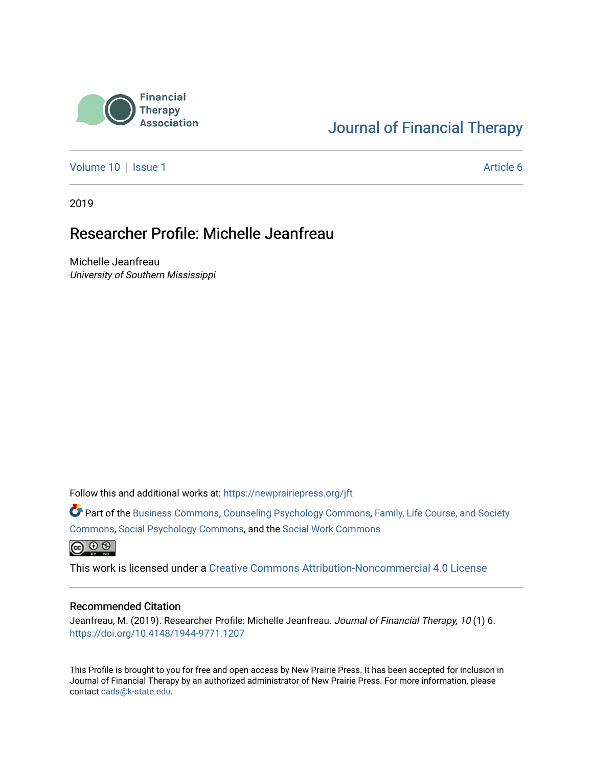

## [Journal of Financial Therapy](https://newprairiepress.org/jft)

[Volume 10](https://newprairiepress.org/jft/vol10) | [Issue 1](https://newprairiepress.org/jft/vol10/iss1) Article 6

2019

## Researcher Profile: Michelle Jeanfreau

Michelle Jeanfreau University of Southern Mississippi

Follow this and additional works at: [https://newprairiepress.org/jft](https://newprairiepress.org/jft?utm_source=newprairiepress.org%2Fjft%2Fvol10%2Fiss1%2F6&utm_medium=PDF&utm_campaign=PDFCoverPages)

Part of the [Business Commons](http://network.bepress.com/hgg/discipline/622?utm_source=newprairiepress.org%2Fjft%2Fvol10%2Fiss1%2F6&utm_medium=PDF&utm_campaign=PDFCoverPages), [Counseling Psychology Commons,](http://network.bepress.com/hgg/discipline/1044?utm_source=newprairiepress.org%2Fjft%2Fvol10%2Fiss1%2F6&utm_medium=PDF&utm_campaign=PDFCoverPages) [Family, Life Course, and Society](http://network.bepress.com/hgg/discipline/419?utm_source=newprairiepress.org%2Fjft%2Fvol10%2Fiss1%2F6&utm_medium=PDF&utm_campaign=PDFCoverPages)  [Commons](http://network.bepress.com/hgg/discipline/419?utm_source=newprairiepress.org%2Fjft%2Fvol10%2Fiss1%2F6&utm_medium=PDF&utm_campaign=PDFCoverPages), [Social Psychology Commons,](http://network.bepress.com/hgg/discipline/414?utm_source=newprairiepress.org%2Fjft%2Fvol10%2Fiss1%2F6&utm_medium=PDF&utm_campaign=PDFCoverPages) and the [Social Work Commons](http://network.bepress.com/hgg/discipline/713?utm_source=newprairiepress.org%2Fjft%2Fvol10%2Fiss1%2F6&utm_medium=PDF&utm_campaign=PDFCoverPages)   $\bigoplus$   $\bigoplus$   $\bigoplus$ 

This work is licensed under a [Creative Commons Attribution-Noncommercial 4.0 License](https://creativecommons.org/licenses/by-nc/4.0/)

#### Recommended Citation

Jeanfreau, M. (2019). Researcher Profile: Michelle Jeanfreau. Journal of Financial Therapy, 10(1) 6. <https://doi.org/10.4148/1944-9771.1207>

This Profile is brought to you for free and open access by New Prairie Press. It has been accepted for inclusion in Journal of Financial Therapy by an authorized administrator of New Prairie Press. For more information, please contact [cads@k-state.edu](mailto:cads@k-state.edu).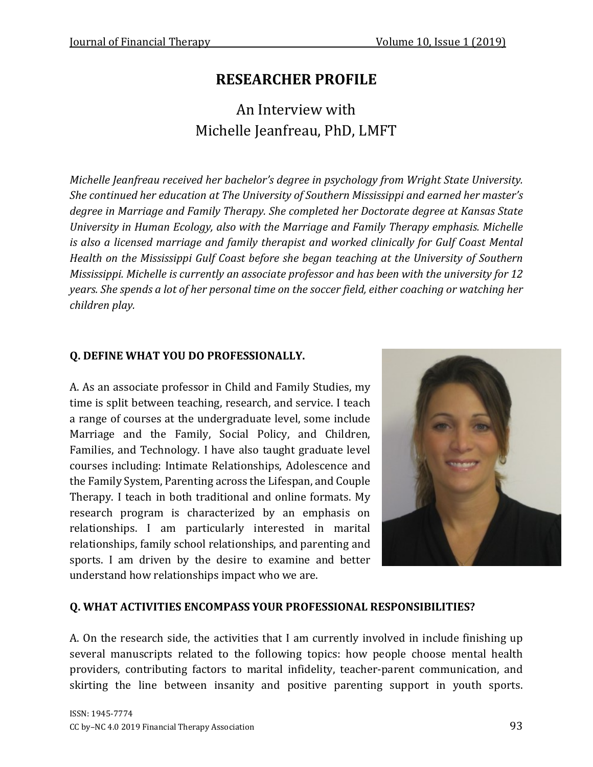# **RESEARCHER PROFILE**

An Interview with Michelle Jeanfreau, PhD, LMFT

*Michelle Jeanfreau received her bachelor's degree in psychology from Wright State University. She continued her education at The University of Southern Mississippi and earned her master's degree in Marriage and Family Therapy. She completed her Doctorate degree at Kansas State University in Human Ecology, also with the Marriage and Family Therapy emphasis. Michelle is also a licensed marriage and family therapist and worked clinically for Gulf Coast Mental Health on the Mississippi Gulf Coast before she began teaching at the University of Southern Mississippi. Michelle is currently an associate professor and has been with the university for 12 years. She spends a lot of her personal time on the soccer field, either coaching or watching her children play.*

## **Q. DEFINE WHAT YOU DO PROFESSIONALLY.**

A. As an associate professor in Child and Family Studies, my time is split between teaching, research, and service. I teach a range of courses at the undergraduate level, some include Marriage and the Family, Social Policy, and Children, Families, and Technology. I have also taught graduate level courses including: Intimate Relationships, Adolescence and the Family System, Parenting across the Lifespan, and Couple Therapy. I teach in both traditional and online formats. My research program is characterized by an emphasis on relationships. I am particularly interested in marital relationships, family school relationships, and parenting and sports. I am driven by the desire to examine and better understand how relationships impact who we are.



#### **Q. WHAT ACTIVITIES ENCOMPASS YOUR PROFESSIONAL RESPONSIBILITIES?**

A. On the research side, the activities that I am currently involved in include finishing up several manuscripts related to the following topics: how people choose mental health providers, contributing factors to marital infidelity, teacher-parent communication, and skirting the line between insanity and positive parenting support in youth sports.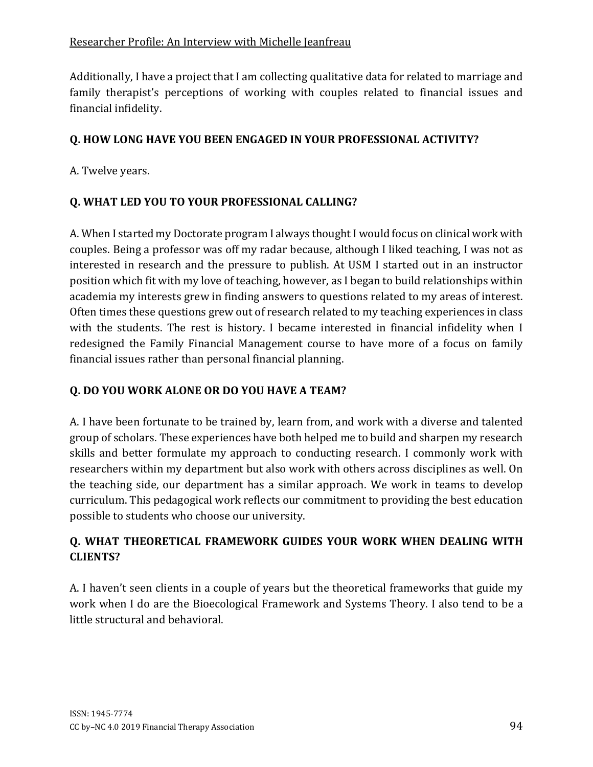Additionally, I have a project that I am collecting qualitative data for related to marriage and family therapist's perceptions of working with couples related to financial issues and financial infidelity.

## **Q. HOW LONG HAVE YOU BEEN ENGAGED IN YOUR PROFESSIONAL ACTIVITY?**

A. Twelve years.

## **Q. WHAT LED YOU TO YOUR PROFESSIONAL CALLING?**

A. When I started my Doctorate program I always thought I would focus on clinical work with couples. Being a professor was off my radar because, although I liked teaching, I was not as interested in research and the pressure to publish. At USM I started out in an instructor position which fit with my love of teaching, however, as I began to build relationships within academia my interests grew in finding answers to questions related to my areas of interest. Often times these questions grew out of research related to my teaching experiences in class with the students. The rest is history. I became interested in financial infidelity when I redesigned the Family Financial Management course to have more of a focus on family financial issues rather than personal financial planning.

### **Q. DO YOU WORK ALONE OR DO YOU HAVE A TEAM?**

A. I have been fortunate to be trained by, learn from, and work with a diverse and talented group of scholars. These experiences have both helped me to build and sharpen my research skills and better formulate my approach to conducting research. I commonly work with researchers within my department but also work with others across disciplines as well. On the teaching side, our department has a similar approach. We work in teams to develop curriculum. This pedagogical work reflects our commitment to providing the best education possible to students who choose our university.

## **Q. WHAT THEORETICAL FRAMEWORK GUIDES YOUR WORK WHEN DEALING WITH CLIENTS?**

A. I haven't seen clients in a couple of years but the theoretical frameworks that guide my work when I do are the Bioecological Framework and Systems Theory. I also tend to be a little structural and behavioral.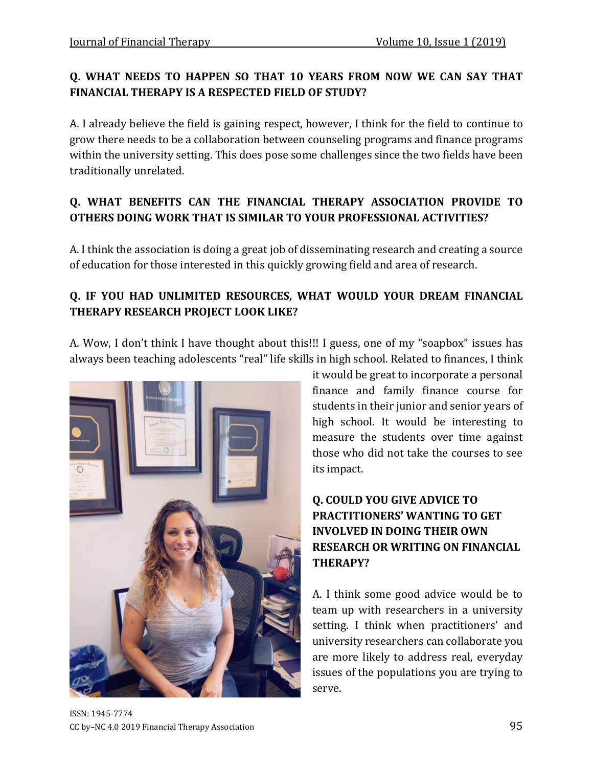## **Q. WHAT NEEDS TO HAPPEN SO THAT 10 YEARS FROM NOW WE CAN SAY THAT FINANCIAL THERAPY IS A RESPECTED FIELD OF STUDY?**

A. I already believe the field is gaining respect, however, I think for the field to continue to grow there needs to be a collaboration between counseling programs and finance programs within the university setting. This does pose some challenges since the two fields have been traditionally unrelated.

## **Q. WHAT BENEFITS CAN THE FINANCIAL THERAPY ASSOCIATION PROVIDE TO OTHERS DOING WORK THAT IS SIMILAR TO YOUR PROFESSIONAL ACTIVITIES?**

A. I think the association is doing a great job of disseminating research and creating a source of education for those interested in this quickly growing field and area of research.

## **Q. IF YOU HAD UNLIMITED RESOURCES, WHAT WOULD YOUR DREAM FINANCIAL THERAPY RESEARCH PROJECT LOOK LIKE?**

A. Wow, I don't think I have thought about this!!! I guess, one of my "soapbox" issues has always been teaching adolescents "real" life skills in high school. Related to finances, I think



it would be great to incorporate a personal finance and family finance course for students in their junior and senior years of high school. It would be interesting to measure the students over time against those who did not take the courses to see its impact.

## **Q. COULD YOU GIVE ADVICE TO PRACTITIONERS' WANTING TO GET INVOLVED IN DOING THEIR OWN RESEARCH OR WRITING ON FINANCIAL THERAPY?**

A. I think some good advice would be to team up with researchers in a university setting. I think when practitioners' and university researchers can collaborate you are more likely to address real, everyday issues of the populations you are trying to serve.

ISSN: 1945-7774 CC by–NC 4.0 2019 Financial Therapy Association 95